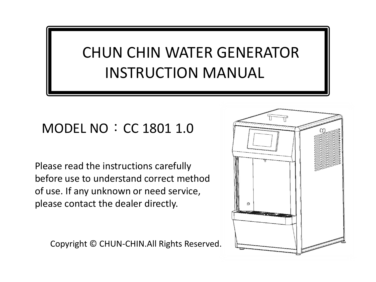### CHUN CHIN WATER GENERATOR INSTRUCTION MANUAL

### MODEL NO: CC 1801 1.0

Please read the instructions carefully before use to understand correct method of use. If any unknown or need service, please contact the dealer directly.

Copyright © CHUN-CHIN.All Rights Reserved.

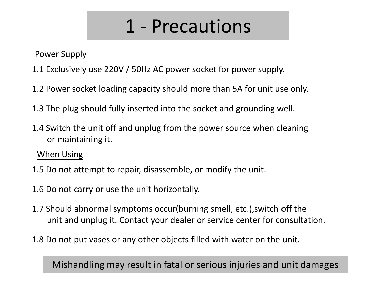# 1 - Precautions

Power Supply

- 1.1 Exclusively use 220V / 50Hz AC power socket for power supply.
- 1.2 Power socket loading capacity should more than 5A for unit use only.
- 1.3 The plug should fully inserted into the socket and grounding well.
- 1.4 Switch the unit off and unplug from the power source when cleaning or maintaining it.

When Using

1.5 Do not attempt to repair, disassemble, or modify the unit.

1.6 Do not carry or use the unit horizontally.

- 1.7 Should abnormal symptoms occur(burning smell, etc.),switch off the unit and unplug it. Contact your dealer or service center for consultation.
- 1.8 Do not put vases or any other objects filled with water on the unit.

Mishandling may result in fatal or serious injuries and unit damages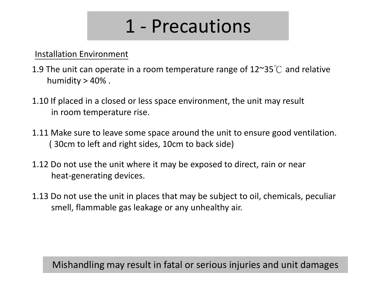# 1 - Precautions

Installation Environment

- 1.9 The unit can operate in a room temperature range of  $12^{\sim}35^{\circ}$  and relative humidity  $> 40\%$ .
- 1.10 If placed in a closed or less space environment, the unit may result in room temperature rise.
- 1.11 Make sure to leave some space around the unit to ensure good ventilation. ( 30cm to left and right sides, 10cm to back side)
- 1.12 Do not use the unit where it may be exposed to direct, rain or near heat-generating devices.
- 1.13 Do not use the unit in places that may be subject to oil, chemicals, peculiar smell, flammable gas leakage or any unhealthy air.

#### Mishandling may result in fatal or serious injuries and unit damages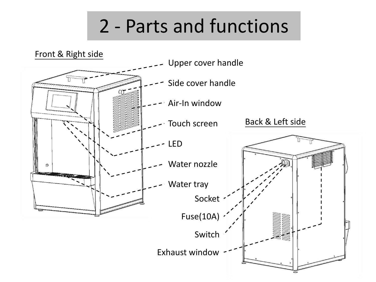# 2 - Parts and functions

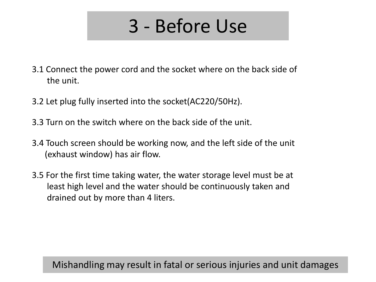# 3 - Before Use

- 3.1 Connect the power cord and the socket where on the back side of the unit.
- 3.2 Let plug fully inserted into the socket(AC220/50Hz).
- 3.3 Turn on the switch where on the back side of the unit.
- 3.4 Touch screen should be working now, and the left side of the unit (exhaust window) has air flow.
- 3.5 For the first time taking water, the water storage level must be at least high level and the water should be continuously taken and drained out by more than 4 liters.

Mishandling may result in fatal or serious injuries and unit damages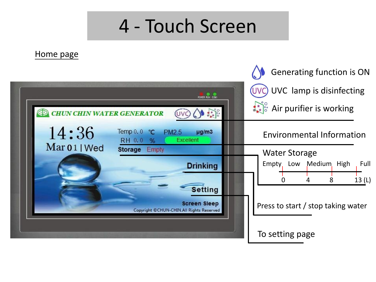### 4 - Touch Screen

Home page

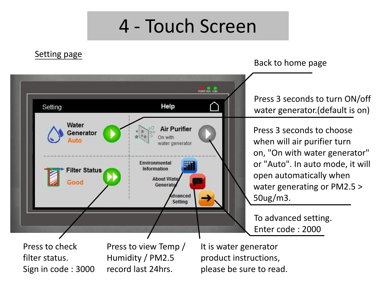### 4 - Touch Screen

#### Setting page

Back to home page



Press 3 seconds to turn ON/off water generator.(default is on)

Press 3 seconds to choose when will air purifier turn on, "On with water generator" or "Auto". In auto mode, it will open automatically when water generating or PM2.5 > 50ug/m3.

To advanced setting. Enter code : 2000

Press to check filter status. Sign in code : 3000

Press to view Temp / Humidity / PM2.5 record last 24hrs.

It is water generator product instructions, please be sure to read.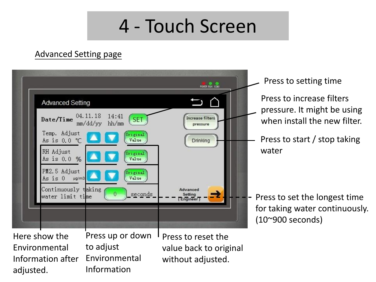## 4 - Touch Screen

#### Advanced Setting page

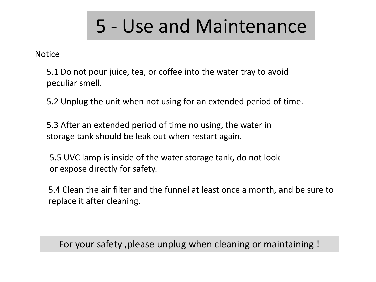# 5 - Use and Maintenance

#### **Notice**

5.1 Do not pour juice, tea, or coffee into the water tray to avoid peculiar smell.

5.2 Unplug the unit when not using for an extended period of time.

5.3 After an extended period of time no using, the water in storage tank should be leak out when restart again.

5.5 UVC lamp is inside of the water storage tank, do not look or expose directly for safety.

5.4 Clean the air filter and the funnel at least once a month, and be sure to replace it after cleaning.

For your safety ,please unplug when cleaning or maintaining !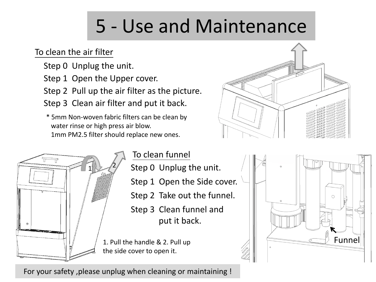# 5 - Use and Maintenance

#### To clean the air filter

- Step 0 Unplug the unit.
- Step 1 Open the Upper cover.
- Step 2 Pull up the air filter as the picture.
- Step 3 Clean air filter and put it back.
- \* 5mm Non-woven fabric filters can be clean by water rinse or high press air blow. 1mm PM2.5 filter should replace new ones.







For your safety ,please unplug when cleaning or maintaining !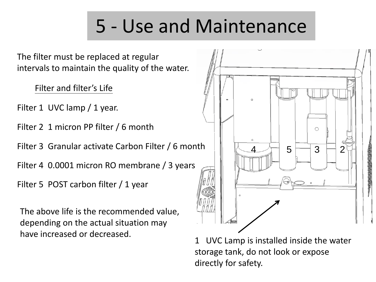# 5 - Use and Maintenance

The filter must be replaced at regular intervals to maintain the quality of the water.

Filter and filter's Life

Filter 1 UVC lamp / 1 year.

Filter 2 1 micron PP filter / 6 month

Filter 3 Granular activate Carbon Filter / 6 month

Filter 4 0.0001 micron RO membrane / 3 years

Filter 5 POST carbon filter / 1 year

The above life is the recommended value, depending on the actual situation may have increased or decreased.



1 UVC Lamp is installed inside the water storage tank, do not look or expose directly for safety.